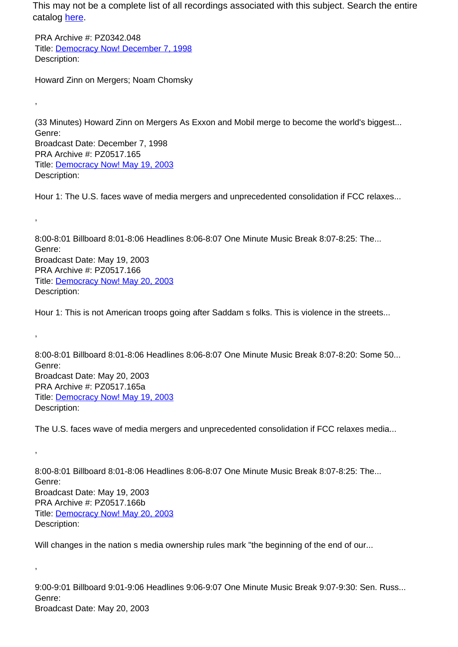PRA Archive #: PZ0342.048 Title: Democracy Now! December 7, 1998 Description:

Howard Zinn on Mergers; Noam Chomsky

,

,

,

,

,

(33 Minutes) Howard Zinn on Mergers As Exxon and Mobil merge to become the world's biggest... Genre: Broadcast Date: December 7, 1998 PRA Archive #: PZ0517.165 Title: Democracy Now! May 19, 2003 Description:

Hour 1: The U.S. faces wave of media mergers and unprecedented consolidation if FCC relaxes...

8:00-8:01 Billboard 8:01-8:06 Headlines 8:06-8:07 One Minute Music Break 8:07-8:25: The... Genre: Broadcast Date: May 19, 2003 PRA Archive #: PZ0517.166 Title: Democracy Now! May 20, 2003 Description:

Hour 1: This is not American troops going after Saddam s folks. This is violence in the streets...

8:00-8:01 Billboard 8:01-8:06 Headlines 8:06-8:07 One Minute Music Break 8:07-8:20: Some 50... Genre: Broadcast Date: May 20, 2003 PRA Archive #: PZ0517.165a Title: Democracy Now! May 19, 2003 Description:

The U.S. faces wave of media mergers and unprecedented consolidation if FCC relaxes media...

8:00-8:01 Billboard 8:01-8:06 Headlines 8:06-8:07 One Minute Music Break 8:07-8:25: The... Genre: Broadcast Date: May 19, 2003 PRA Archive #: PZ0517.166b Title: Democracy Now! May 20, 2003 Description:

Will changes in the nation s media ownership rules mark "the beginning of the end of our...

9:00-9:01 Billboard 9:01-9:06 Headlines 9:06-9:07 One Minute Music Break 9:07-9:30: Sen. Russ... Genre: Broadcast Date: May 20, 2003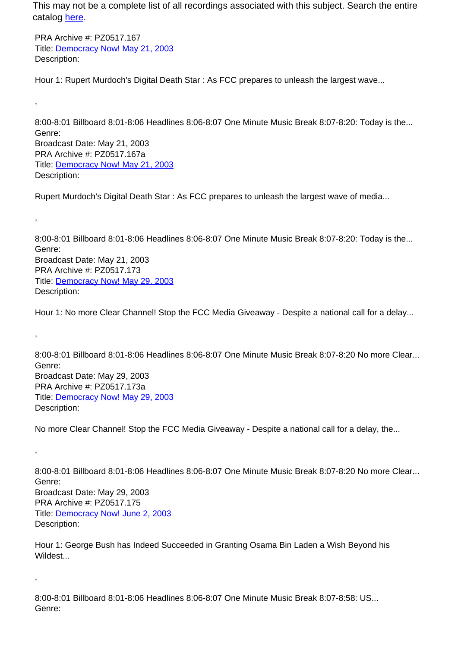PRA Archive #: PZ0517.167 Title: Democracy Now! May 21, 2003 Description:

,

,

,

,

,

Hour 1: Rupert Murdoch's Digital Death Star : As FCC prepares to unleash the largest wave...

8:00-8:01 Billboard 8:01-8:06 Headlines 8:06-8:07 One Minute Music Break 8:07-8:20: Today is the... Genre: Broadcast Date: May 21, 2003 PRA Archive #: PZ0517.167a Title: Democracy Now! May 21, 2003 Description:

Rupert Murdoch's Digital Death Star : As FCC prepares to unleash the largest wave of media...

8:00-8:01 Billboard 8:01-8:06 Headlines 8:06-8:07 One Minute Music Break 8:07-8:20: Today is the... Genre: Broadcast Date: May 21, 2003 PRA Archive #: PZ0517.173 Title: Democracy Now! May 29, 2003 Description:

Hour 1: No more Clear Channel! Stop the FCC Media Giveaway - Despite a national call for a delay...

8:00-8:01 Billboard 8:01-8:06 Headlines 8:06-8:07 One Minute Music Break 8:07-8:20 No more Clear... Genre: Broadcast Date: May 29, 2003 PRA Archive #: PZ0517.173a Title: Democracy Now! May 29, 2003 Description:

No more Clear Channel! Stop the FCC Media Giveaway - Despite a national call for a delay, the...

8:00-8:01 Billboard 8:01-8:06 Headlines 8:06-8:07 One Minute Music Break 8:07-8:20 No more Clear... Genre: Broadcast Date: May 29, 2003 PRA Archive #: PZ0517.175 Title: Democracy Now! June 2, 2003 Description:

Hour 1: George Bush has Indeed Succeeded in Granting Osama Bin Laden a Wish Beyond his Wildest...

8:00-8:01 Billboard 8:01-8:06 Headlines 8:06-8:07 One Minute Music Break 8:07-8:58: US... Genre: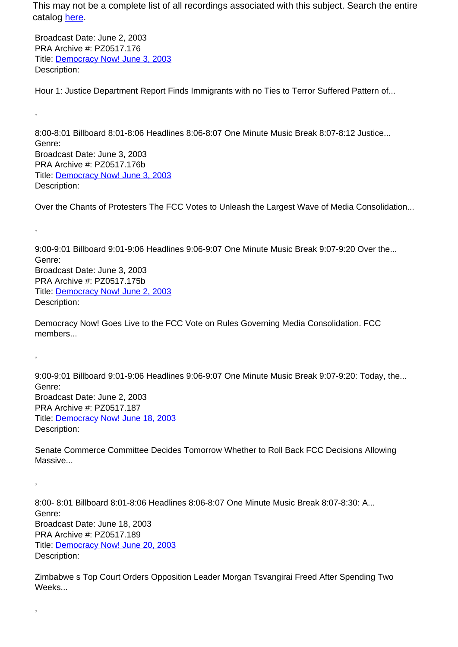Broadcast Date: June 2, 2003 PRA Archive #: PZ0517.176 Title: Democracy Now! June 3, 2003 Description:

,

,

,

,

,

Hour 1: Justice Department Report Finds Immigrants with no Ties to Terror Suffered Pattern of...

8:00-8:01 Billboard 8:01-8:06 Headlines 8:06-8:07 One Minute Music Break 8:07-8:12 Justice... Genre: Broadcast Date: June 3, 2003 PRA Archive #: PZ0517.176b Title: Democracy Now! June 3, 2003 Description:

Over the Chants of Protesters The FCC Votes to Unleash the Largest Wave of Media Consolidation...

9:00-9:01 Billboard 9:01-9:06 Headlines 9:06-9:07 One Minute Music Break 9:07-9:20 Over the... Genre: Broadcast Date: June 3, 2003 PRA Archive #: PZ0517.175b Title: Democracy Now! June 2, 2003 Description:

Democracy Now! Goes Live to the FCC Vote on Rules Governing Media Consolidation. FCC members...

9:00-9:01 Billboard 9:01-9:06 Headlines 9:06-9:07 One Minute Music Break 9:07-9:20: Today, the... Genre: Broadcast Date: June 2, 2003 PRA Archive #: PZ0517.187 Title: Democracy Now! June 18, 2003 Description:

Senate Commerce Committee Decides Tomorrow Whether to Roll Back FCC Decisions Allowing Massive...

8:00- 8:01 Billboard 8:01-8:06 Headlines 8:06-8:07 One Minute Music Break 8:07-8:30: A... Genre: Broadcast Date: June 18, 2003 PRA Archive #: PZ0517.189 Title: Democracy Now! June 20, 2003 Description:

Zimbabwe s Top Court Orders Opposition Leader Morgan Tsvangirai Freed After Spending Two Weeks...